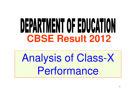# DEPARTMENT OF EDUCATION **CBSE Result 2012**

Analysis of Class-X Performance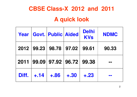## **CBSE Class-X 2012 and 2011**

## **A quick look**

|       |         | <b>Year   Govt.   Public   Aided</b> |        | <b>Delhi</b><br><b>KVs</b> | <b>NDMC</b> |
|-------|---------|--------------------------------------|--------|----------------------------|-------------|
|       |         | 2012 99.23 98.78 97.02               |        | 99.61                      | 90.33       |
|       |         | 2011 99.09 97.92 96.72 99.38         |        |                            |             |
| Diff. | $+ .14$ | $+86$                                | $+.30$ | $+.23$                     |             |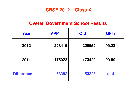### **CBSE 2012 Class X**

| <b>Overall Government School Results</b> |            |            |        |  |  |  |
|------------------------------------------|------------|------------|--------|--|--|--|
| Year                                     | <b>APP</b> | <b>Qfd</b> | $QP\%$ |  |  |  |
| 2012                                     | 228415     | 226652     | 99.23  |  |  |  |
| 2011                                     | 175023     | 173429     | 99.09  |  |  |  |
| <b>Difference</b>                        | 53392      | 53223      | $+.14$ |  |  |  |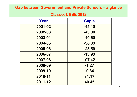#### **Gap between Government and Private Schools – a glance**

#### **Class-X CBSE 2012**

| Year    | Gap%     |
|---------|----------|
| 2001-02 | $-45.40$ |
| 2002-03 | $-43.00$ |
| 2003-04 | $-40.60$ |
| 2004-05 | $-38.33$ |
| 2005-06 | $-28.59$ |
| 2006-07 | $-13.93$ |
| 2007-08 | $-07.42$ |
| 2008-09 | $-1.27$  |
| 2009-10 | $-0.84$  |
| 2010-11 | $+1.17$  |
| 2011-12 | $+0.45$  |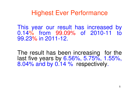## Highest Ever Performance

This year our result has increased by 0.14% from 99.09% of 2010-11 to 99.23% in 2011-12.

The result has been increasing for the last five years by 6.56%, 5.75%, 1.55%, 8.04% and by 0.14 % respectively.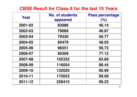## **CBSE Result for Class-X for the last 10 Years**

| Year    | <b>No. of students</b><br>appeared | <b>Pass percentage</b><br>(% ) |
|---------|------------------------------------|--------------------------------|
| 2001-02 | 83086                              | 46.14                          |
| 2002-03 | 79069                              | 48.87                          |
| 2003-04 | 79330                              | 50.77                          |
| 2004-05 | 85479                              | 48.03                          |
| 2005-06 | 96551                              | 59.73                          |
| 2006-07 | 95309                              | 77.12                          |
| 2007-08 | 105332                             | 83.69                          |
| 2008-09 | 116054                             | 89.44                          |
| 2009-10 | 132020                             | 90.99                          |
| 2010-11 | 175023                             | 99.09                          |
| 2011-12 | 228415                             | 99.23                          |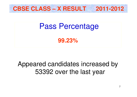

## Pass Percentage

**99.23%**

## Appeared candidates increased by 53392 over the last year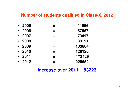#### **Number of students qualified in Class-X, 2012**

| $\bullet$ | 2005    | 41056  |
|-----------|---------|--------|
| $\bullet$ | 2006    | 57667  |
| $\bullet$ | 2007    | 73497  |
| $\bullet$ | 2008    | 88151  |
| $\bullet$ | 2009    | 103804 |
| $\bullet$ | 2010    | 120120 |
| $\bullet$ | 2011    | 173429 |
|           | $-2012$ | 226652 |
|           |         |        |

#### **Increase over 2011 = 53223**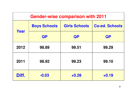| <b>Gender-wise comparison with 2011</b> |                                             |           |                       |  |  |  |
|-----------------------------------------|---------------------------------------------|-----------|-----------------------|--|--|--|
| Year                                    | <b>Girls Schools</b><br><b>Boys Schools</b> |           | <b>Co-ed. Schools</b> |  |  |  |
|                                         | <b>QP</b>                                   | <b>QP</b> | QP                    |  |  |  |
| 2012                                    | 98.89                                       | 99.51     | 99.29                 |  |  |  |
| 2011                                    | 98.92                                       | 99.23     | 99.10                 |  |  |  |
| Diff.                                   | $-0.03$                                     | $+0.28$   | $+0.19$               |  |  |  |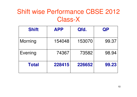## Shift wise Performance CBSE 2012 Class-X

| <b>Shift</b> | <b>APP</b> | Qfd.   | QP    |
|--------------|------------|--------|-------|
| Morning      | 154048     | 153070 | 99.37 |
| Evening      | 74367      | 73582  | 98.94 |
| <b>Total</b> | 228415     | 226652 | 99.23 |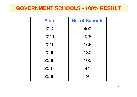## **GOVERNMENT SCHOOLS - 100% RESULT**

| Year | <b>No. of Schools</b> |
|------|-----------------------|
| 2012 | 400                   |
| 2011 | 326                   |
| 2010 | 166                   |
| 2009 | 130                   |
| 2008 | 100                   |
| 2007 | 41                    |
| 2006 | 9                     |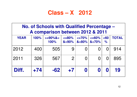## **Class – X 2012**

| No. of Schools with Qualified Percentage -<br>A comparison between 2012 & 2011 |       |                    |                                                       |                   |          |              |              |
|--------------------------------------------------------------------------------|-------|--------------------|-------------------------------------------------------|-------------------|----------|--------------|--------------|
| <b>YEAR</b>                                                                    | 100%  | $>=90%$ &<<br>100% | $\epsilon = 80\%$<br>$8 - 90\%$ $8 - 80\%$ $8 - 70\%$ | $\epsilon = 70\%$ | $<=60%$  | $60$<br>$\%$ | <b>TOTAL</b> |
| 2012                                                                           | 400   | 505                | 9                                                     |                   |          |              | 914          |
| 2011                                                                           | 326   | 567                | $\overline{2}$                                        |                   | $\Omega$ |              | 895          |
| Diff.                                                                          | $+74$ | $-62$              | $+7$                                                  |                   |          |              | 19           |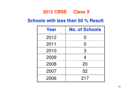### **2012 CBSE Class X**

### **Schools with less than 50 % Result**

| Year | <b>No. of Schools</b> |
|------|-----------------------|
| 2012 | $\Omega$              |
| 2011 | $\Omega$              |
| 2010 | 3                     |
| 2009 | $\overline{4}$        |
| 2008 | 20                    |
| 2007 | 52                    |
| 2006 | 217                   |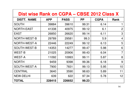## **Dist wise Rank on CGPA – CBSE 2012 Class X**

| <b>DISTT. NAME</b>  | <b>APP</b> | <b>PASS</b> | <b>PP</b> | <b>CGPA</b> | <b>Rank</b>    |
|---------------------|------------|-------------|-----------|-------------|----------------|
| <b>SOUTH</b>        | 39884      | 39610       | 99.31     | 6.14        | 1              |
| NORTH-EAST          | 41338      | 40975       | 99.12     | 6.1         | $\overline{2}$ |
| <b>EAST</b>         | 26850      | 26620       | 99.14     | 6.11        | 3              |
| NORTH-WEST-B        | 29789      | 29581       | 99.3      | 5.9         | $\overline{4}$ |
| NORTH-WEST-A        | 22446      | 22249       | 99.12     | 6.13        | 5              |
| <b>SOUTH-WEST-B</b> | 14353      | 14277       | 99.47     | 5.98        | 6              |
| <b>WEST-B</b>       | 21025      | 20906       | 99.43     | 6.04        | $\overline{7}$ |
| <b>WEST-A</b>       | 11092      | 10993       | 99.11     | 5.87        | 8              |
| <b>NORTH</b>        | 9459       | 9398        | 99.36     | 6.18        | 9              |
| SOUTH-WEST-A        | 7900       | 7831        | 99.13     | 5.95        | 10             |
| <b>CENTRAL</b>      | 3640       | 3590        | 98.63     | 5.89        | 11             |
| <b>NEW-DELHI</b>    | 639        | 622         | 97.34     | 5.78        | 12             |
| <b>TOTAL</b>        | 228415     | 226652      | 99.23     |             |                |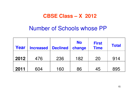## **CBSE Class – X 2012**

## Number of Schools whose PP

| Year | <b>Increased</b> | <b>Declined</b> | <b>No</b><br>change | <b>First</b><br><b>Time</b> | <b>Total</b> |
|------|------------------|-----------------|---------------------|-----------------------------|--------------|
| 2012 | 476              | 236             | 182                 | 20                          | 914          |
| 2011 | 604              | 160             | 86                  | 45                          | 895          |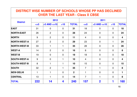| <b>DISTRICT WISE NUMBER OF SCHOOLS WHOSE PP HAS DECLINED</b><br><b>OVER THE LAST YEAR - Class X CBSE</b> |           |                 |                |                |                |                         |                |              |  |
|----------------------------------------------------------------------------------------------------------|-----------|-----------------|----------------|----------------|----------------|-------------------------|----------------|--------------|--|
|                                                                                                          | 2012      |                 |                |                | 2011           |                         |                |              |  |
| <b>District</b>                                                                                          | $\leq$ =5 | $>5$ AND $<=10$ | >10            | <b>TOTAL</b>   | $\leq$ =5      | $>5$ AND $\leq$ 10      | $>10$          | <b>TOTAL</b> |  |
| <b>EAST</b>                                                                                              | 31        | $\Omega$        | $\overline{0}$ | 31             | 18             | $\Omega$                | $\overline{0}$ | 18           |  |
| <b>NORTH-EAST</b>                                                                                        | 26        | $\overline{2}$  | $\Omega$       | 28             | 24             | $\Omega$                | $\overline{0}$ | 24           |  |
| <b>NORTH</b>                                                                                             | 9         | 2               | $\Omega$       | 11             | $\overline{4}$ | $\Omega$                | $\overline{0}$ | 4            |  |
| <b>NORTH-WEST-A</b>                                                                                      | 27        | $\overline{2}$  | $\Omega$       | 29             | 23             | $\Omega$                | 1              | 24           |  |
| <b>NORTH-WEST-B</b>                                                                                      | 33        | $\mathbf{1}$    | $\mathbf{1}$   | 35             | 28             | $\overline{0}$          | $\overline{0}$ | 28           |  |
| <b>WEST-A</b>                                                                                            | 14        | 2               | $\overline{0}$ | 16             | 8              | $\Omega$                | $\overline{0}$ | 8            |  |
| <b>WEST-B</b>                                                                                            | 19        | $\Omega$        | $\Omega$       | 19             | 18             | $\Omega$                | $\Omega$       | 18           |  |
| <b>SOUTH-WEST-A</b>                                                                                      | 9         | $\overline{0}$  | $\mathbf 1$    | 10             | $\overline{4}$ | $\Omega$                | $\overline{0}$ | 4            |  |
| <b>SOUTH-WEST-B</b>                                                                                      | 8         | $\mathbf{1}$    | 1              | 10             | 15             | $\Omega$                | $\overline{0}$ | 15           |  |
| <b>SOUTH</b>                                                                                             | 32        | 2               | 1              | 35             | $\overline{7}$ | 1                       | $\overline{0}$ | 8            |  |
| <b>NEW-DELHI</b>                                                                                         | 1         | 1               | $\overline{0}$ | $\overline{2}$ | $\mathbf{1}$   | $\mathbf 0$             | $\overline{0}$ | 1            |  |
| <b>CENTRAL</b>                                                                                           | 13        | $\mathbf{1}$    | $\overline{0}$ | 14             | $\overline{7}$ | $\mathbf{1}$            | $\overline{0}$ | 8            |  |
| <b>TOTAL</b>                                                                                             | 222       | 14              | 4              | 240            | 157            | $\overline{\mathbf{2}}$ | 1              | 160          |  |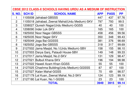| <b>CBSE 2012 CLASS-X SCHOOLS HAVING URDU AS A MEDIUM OF INSTRUCTION</b> |               |                                                 |            |             |           |  |  |
|-------------------------------------------------------------------------|---------------|-------------------------------------------------|------------|-------------|-----------|--|--|
| <b>S. NO.</b>                                                           | <b>SCH ID</b> | <b>SCHOOL NAME</b>                              | <b>APP</b> | <b>PASS</b> | <b>PP</b> |  |  |
|                                                                         |               | 1105008 Jafrabad-GBSSS                          | 447        | 437         | 97.76     |  |  |
| $\overline{2}$                                                          |               | 1105018 Jafrabad, Zeenat Mahal(Urdu Medium)-SKV | 797        | 793         | 99.5      |  |  |
| 3                                                                       |               | 1208027 Quresh Nagar (Urdu Medium)-GGSS         | 40         | 40          | 100       |  |  |
| $\overline{4}$                                                          |               | 1208090 Inder Lok-SKV                           | 165        | 165         | 100       |  |  |
| 5                                                                       |               | 1925002 Noor Nagar-GBSSS                        | 458        | 456         | 99.56     |  |  |
| 6                                                                       |               | 1925035 Noor Nagar-SKV                          | 350        | 348         | 99.43     |  |  |
| $\overline{7}$                                                          |               | 1925049 Joga Bai-GGSSS                          | 381        | 376         | 98.69     |  |  |
| 8                                                                       |               | 1925052 Joga Bai-GBSSS                          | 318        | 317         | 99.69     |  |  |
| 9                                                                       |               | 2127002 Jama Masjid, No.1 (Urdu Medium)-SBV     | 158        | 155         | 98.10     |  |  |
| 10                                                                      |               | 2127003 Darya Ganj, Pataudi House-SBV           | 149        | 148         | 99.33     |  |  |
| 11                                                                      |               | 2127017 Jama Masjid, No.2-SKV                   | 131        | 129         | 98.47     |  |  |
| 12                                                                      |               | 2127021 Bulbuli Khana-SKV                       | 196        | 194         | 98.98     |  |  |
| 13                                                                      |               | 2127022 Haweli Azam Khan-GGSS                   | 55         | 55          | 100       |  |  |
| 14                                                                      |               | 2127025 Chashma Building (Urdu Medium)-GGSSS    | 87         | 87          | 100       |  |  |
| 15                                                                      |               | 2127027 Kalan Mahal-GGSS                        | 70         | 69          | 98.57     |  |  |
| 16                                                                      |               | 2127179 Lal Kuan, Zeenat Mahal, No.2-SKV        | 124        | 123         | 99.19     |  |  |
| 17                                                                      |               | 2127180 Lal Kuan, No.1-GGSS                     | 23         | 23          | 100       |  |  |
| <b>TOTAL</b>                                                            |               |                                                 |            | 3915        | 99.14     |  |  |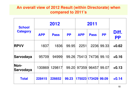#### **An overall view of 2012 Result (within Directorate) when compared to 2011's**

| <b>School</b><br><b>Category</b> |            | 2012        | 2011      |                   |               |           |                    |
|----------------------------------|------------|-------------|-----------|-------------------|---------------|-----------|--------------------|
|                                  | <b>APP</b> | <b>Pass</b> | <b>PP</b> | <b>APP</b>        | <b>Pass</b>   | <b>PP</b> | Diff.<br><b>PP</b> |
| <b>RPVV</b>                      | 1837       | 1836        | 99.95     | 2251              | 2236          | 99.33     | $+0.62$            |
| Sarvodaya                        | 95709      | 94999       |           | 99.26 75413 74736 |               | 99.10     | $+0.16$            |
| Non-<br>Sarvodaya                | 130869     | 129817      | 99.20     | 97359             | 96457         | 99.07     | $+0.13$            |
| <b>Total</b>                     | 228415     | 226652      | 99.23     |                   | 175023 173429 | 99.09     | $+0.14$            |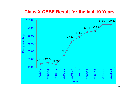### **Class X CBSE Result for the last 10 Years**

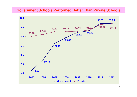#### **Government Schools Performed Better Than Private Schools**